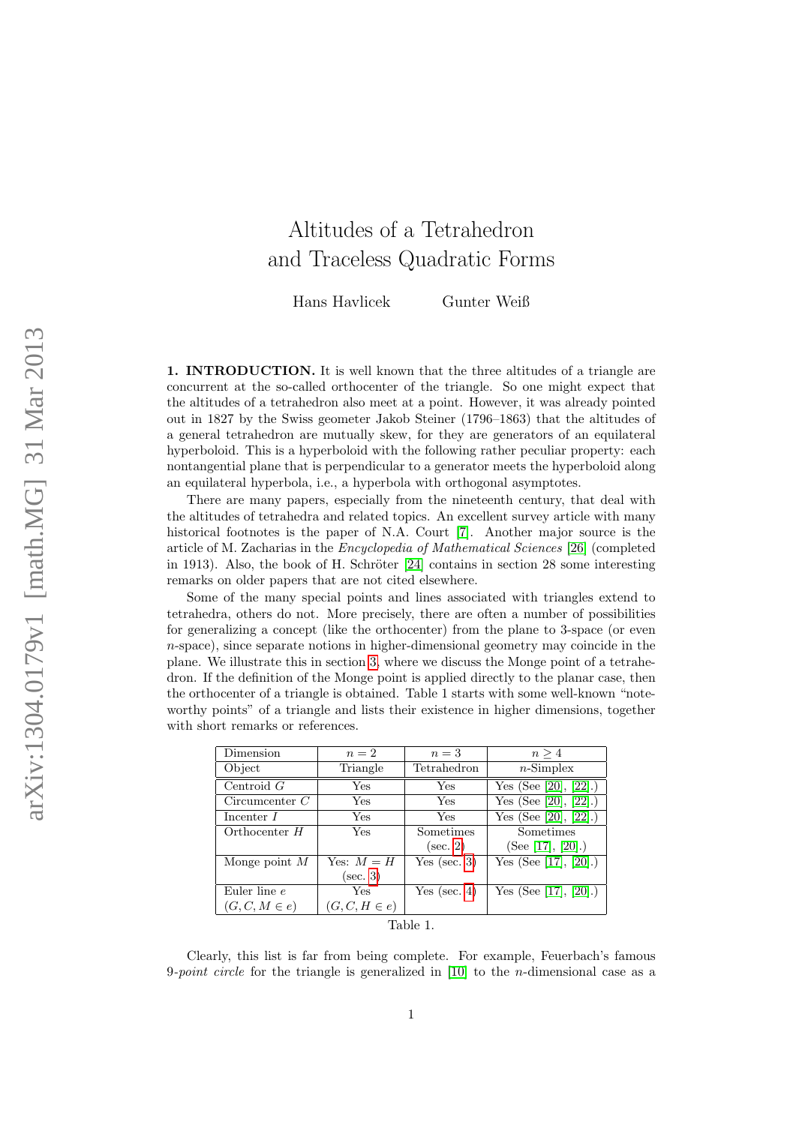## Altitudes of a Tetrahedron and Traceless Quadratic Forms

Hans Havlicek Gunter Weiß

1. INTRODUCTION. It is well known that the three altitudes of a triangle are concurrent at the so-called orthocenter of the triangle. So one might expect that the altitudes of a tetrahedron also meet at a point. However, it was already pointed out in 1827 by the Swiss geometer Jakob Steiner (1796–1863) that the altitudes of a general tetrahedron are mutually skew, for they are generators of an equilateral hyperboloid. This is a hyperboloid with the following rather peculiar property: each nontangential plane that is perpendicular to a generator meets the hyperboloid along an equilateral hyperbola, i.e., a hyperbola with orthogonal asymptotes.

There are many papers, especially from the nineteenth century, that deal with the altitudes of tetrahedra and related topics. An excellent survey article with many historical footnotes is the paper of N.A. Court [\[7\]](#page-13-0). Another major source is the article of M. Zacharias in the Encyclopedia of Mathematical Sciences [\[26\]](#page-14-0) (completed in 1913). Also, the book of H. Schröter  $[24]$  contains in section 28 some interesting remarks on older papers that are not cited elsewhere.

Some of the many special points and lines associated with triangles extend to tetrahedra, others do not. More precisely, there are often a number of possibilities for generalizing a concept (like the orthocenter) from the plane to 3-space (or even  $n$ -space), since separate notions in higher-dimensional geometry may coincide in the plane. We illustrate this in section [3,](#page-4-0) where we discuss the Monge point of a tetrahedron. If the definition of the Monge point is applied directly to the planar case, then the orthocenter of a triangle is obtained. Table 1 starts with some well-known "noteworthy points" of a triangle and lists their existence in higher dimensions, together with short remarks or references.

| Dimension         | $n=2$             | $n=3$            | n > 4                                     |
|-------------------|-------------------|------------------|-------------------------------------------|
| Object            | Triangle          | Tetrahedron      | $n$ -Simplex                              |
| Centroid $G$      | Yes               | Yes              | Yes (See [20], [22].)                     |
| Circumcenter $C$  | Yes               | Yes              | $\overline{\text{Yes}}$ (See [20], [22].) |
| Incenter I        | Yes               | Yes              | $\overline{\text{Yes}}$ (See [20], [22].) |
| Orthocenter $H$   | Yes               | Sometimes        | Sometimes                                 |
|                   |                   | $(\sec. 2)$      | (See [17], [20].)                         |
| Monge point $M$   | Yes: $M = H$      | Yes (sec. $3)$ ) | Yes (See [17], [20].)                     |
|                   | $(\sec. 3)$       |                  |                                           |
| Euler line e      | Yes               | Yes (sec. $4$ )  | Yes (See [17], [20].)                     |
| $(G, C, M \in e)$ | $(G, C, H \in e)$ |                  |                                           |
| Table 1.          |                   |                  |                                           |

Clearly, this list is far from being complete. For example, Feuerbach's famous 9-point circle for the triangle is generalized in  $[10]$  to the *n*-dimensional case as a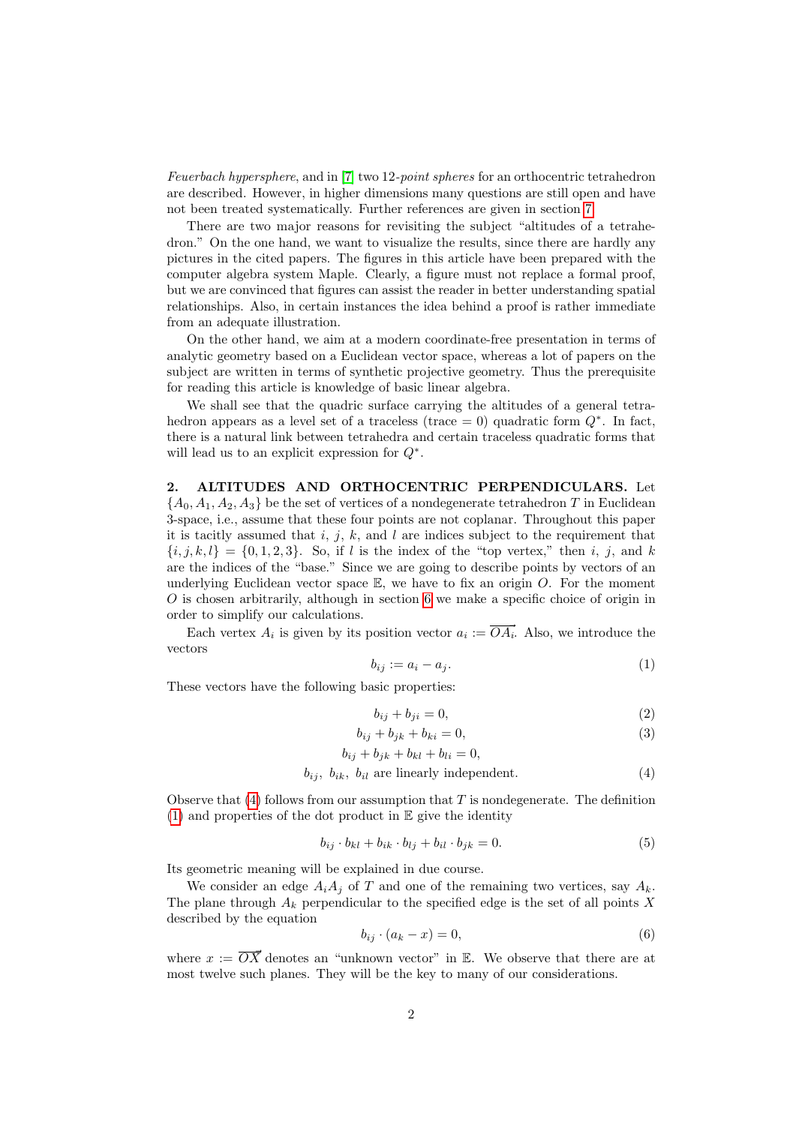Feuerbach hypersphere, and in [\[7\]](#page-13-0) two 12-point spheres for an orthocentric tetrahedron are described. However, in higher dimensions many questions are still open and have not been treated systematically. Further references are given in section [7.](#page-12-0)

There are two major reasons for revisiting the subject "altitudes of a tetrahedron." On the one hand, we want to visualize the results, since there are hardly any pictures in the cited papers. The figures in this article have been prepared with the computer algebra system Maple. Clearly, a figure must not replace a formal proof, but we are convinced that figures can assist the reader in better understanding spatial relationships. Also, in certain instances the idea behind a proof is rather immediate from an adequate illustration.

On the other hand, we aim at a modern coordinate-free presentation in terms of analytic geometry based on a Euclidean vector space, whereas a lot of papers on the subject are written in terms of synthetic projective geometry. Thus the prerequisite for reading this article is knowledge of basic linear algebra.

We shall see that the quadric surface carrying the altitudes of a general tetrahedron appears as a level set of a traceless (trace = 0) quadratic form  $Q^*$ . In fact, there is a natural link between tetrahedra and certain traceless quadratic forms that will lead us to an explicit expression for Q<sup>∗</sup> .

<span id="page-1-0"></span>2. ALTITUDES AND ORTHOCENTRIC PERPENDICULARS. Let  ${A_0, A_1, A_2, A_3}$  be the set of vertices of a nondegenerate tetrahedron T in Euclidean 3-space, i.e., assume that these four points are not coplanar. Throughout this paper it is tacitly assumed that i, j, k, and l are indices subject to the requirement that  ${i, j, k, l} = {0, 1, 2, 3}$ . So, if l is the index of the "top vertex," then i, j, and k are the indices of the "base." Since we are going to describe points by vectors of an underlying Euclidean vector space  $\mathbb{E}$ , we have to fix an origin O. For the moment  $O$  is chosen arbitrarily, although in section [6](#page-9-0) we make a specific choice of origin in order to simplify our calculations.

Each vertex  $A_i$  is given by its position vector  $a_i := \overrightarrow{OA_i}$ . Also, we introduce the vectors

<span id="page-1-2"></span>
$$
b_{ij} := a_i - a_j. \tag{1}
$$

These vectors have the following basic properties:

$$
b_{ij} + b_{ji} = 0,\t\t(2)
$$

$$
b_{ij} + b_{jk} + b_{ki} = 0,\t\t(3)
$$

$$
b_{ij} + b_{jk} + b_{kl} + b_{li} = 0,
$$

<span id="page-1-1"></span>
$$
b_{ij}, b_{ik}, b_{il}
$$
 are linearly independent. (4)

Observe that  $(4)$  follows from our assumption that T is nondegenerate. The definition  $(1)$  and properties of the dot product in  $\mathbb E$  give the identity

<span id="page-1-3"></span>
$$
b_{ij} \cdot b_{kl} + b_{ik} \cdot b_{lj} + b_{il} \cdot b_{jk} = 0. \tag{5}
$$

Its geometric meaning will be explained in due course.

We consider an edge  $A_iA_j$  of T and one of the remaining two vertices, say  $A_k$ . The plane through  $A_k$  perpendicular to the specified edge is the set of all points X described by the equation

<span id="page-1-4"></span>
$$
b_{ij} \cdot (a_k - x) = 0,\t\t(6)
$$

where  $x := \overline{OX}$  denotes an "unknown vector" in E. We observe that there are at most twelve such planes. They will be the key to many of our considerations.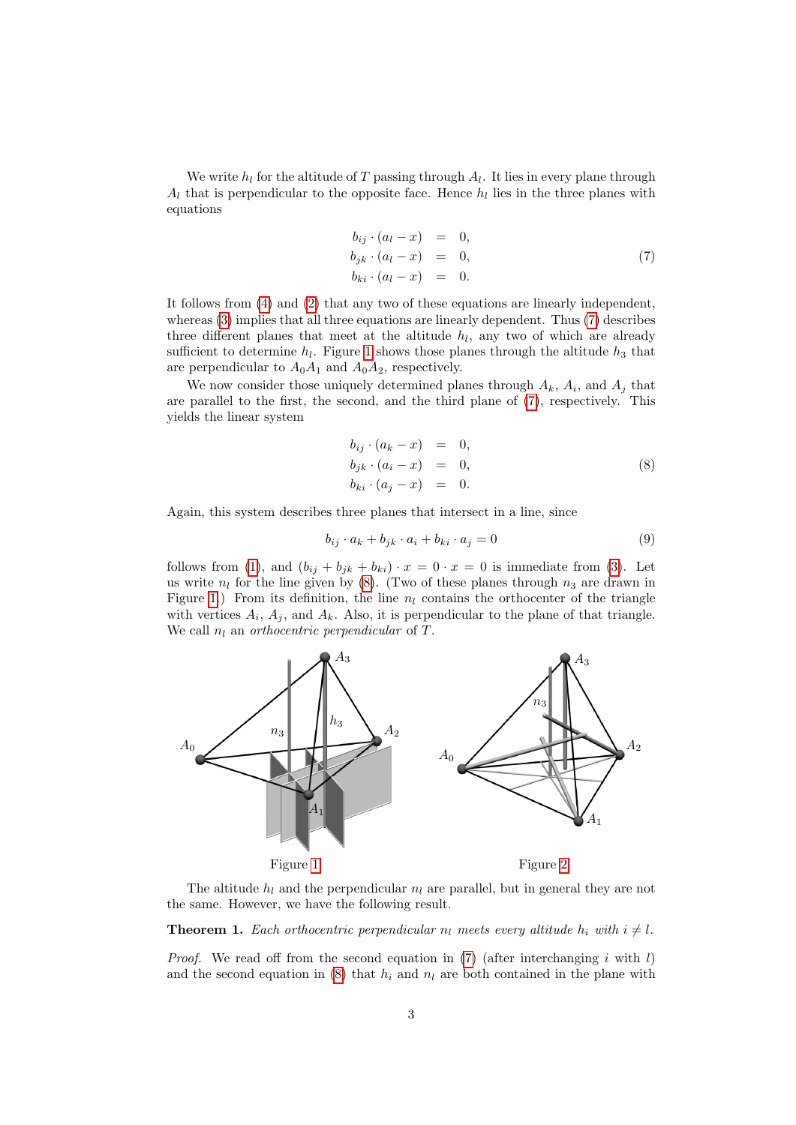We write  $h_l$  for the altitude of T passing through  $A_l$ . It lies in every plane through  $A_l$  that is perpendicular to the opposite face. Hence  $h_l$  lies in the three planes with equations

<span id="page-2-0"></span>
$$
b_{ij} \cdot (a_l - x) = 0, \n b_{jk} \cdot (a_l - x) = 0, \n b_{ki} \cdot (a_l - x) = 0.
$$
\n(7)

It follows from [\(4\)](#page-1-1) and [\(2\)](#page-1-1) that any two of these equations are linearly independent, whereas [\(3\)](#page-1-1) implies that all three equations are linearly dependent. Thus [\(7\)](#page-2-0) describes three different planes that meet at the altitude  $h_l$ , any two of which are already sufficient to determine  $h_l$ . Figure [1](#page-2-1) shows those planes through the altitude  $h_3$  that are perpendicular to  $A_0A_1$  and  $A_0A_2$ , respectively.

We now consider those uniquely determined planes through  $A_k$ ,  $A_i$ , and  $A_j$  that are parallel to the first, the second, and the third plane of [\(7\)](#page-2-0), respectively. This yields the linear system

<span id="page-2-2"></span>
$$
b_{ij} \cdot (a_k - x) = 0, \n b_{jk} \cdot (a_i - x) = 0, \n b_{ki} \cdot (a_j - x) = 0.
$$
\n(8)

Again, this system describes three planes that intersect in a line, since

<span id="page-2-5"></span>
$$
b_{ij} \cdot a_k + b_{jk} \cdot a_i + b_{ki} \cdot a_j = 0 \tag{9}
$$

follows from [\(1\)](#page-1-2), and  $(b_{ij} + b_{jk} + b_{ki}) \cdot x = 0 \cdot x = 0$  is immediate from [\(3\)](#page-1-1). Let us write  $n_l$  for the line given by [\(8\)](#page-2-2). (Two of these planes through  $n_3$  are drawn in Figure [1.](#page-2-1)) From its definition, the line  $n_l$  contains the orthocenter of the triangle with vertices  $A_i$ ,  $A_j$ , and  $A_k$ . Also, it is perpendicular to the plane of that triangle. We call  $n_l$  an *orthocentric perpendicular* of  $T$ .



<span id="page-2-3"></span><span id="page-2-1"></span>The altitude  $h_l$  and the perpendicular  $n_l$  are parallel, but in general they are not the same. However, we have the following result.

<span id="page-2-4"></span>**Theorem 1.** Each orthocentric perpendicular  $n_l$  meets every altitude  $h_i$  with  $i \neq l$ .

*Proof.* We read off from the second equation in [\(7\)](#page-2-0) (after interchanging i with l) and the second equation in [\(8\)](#page-2-2) that  $h_i$  and  $n_l$  are both contained in the plane with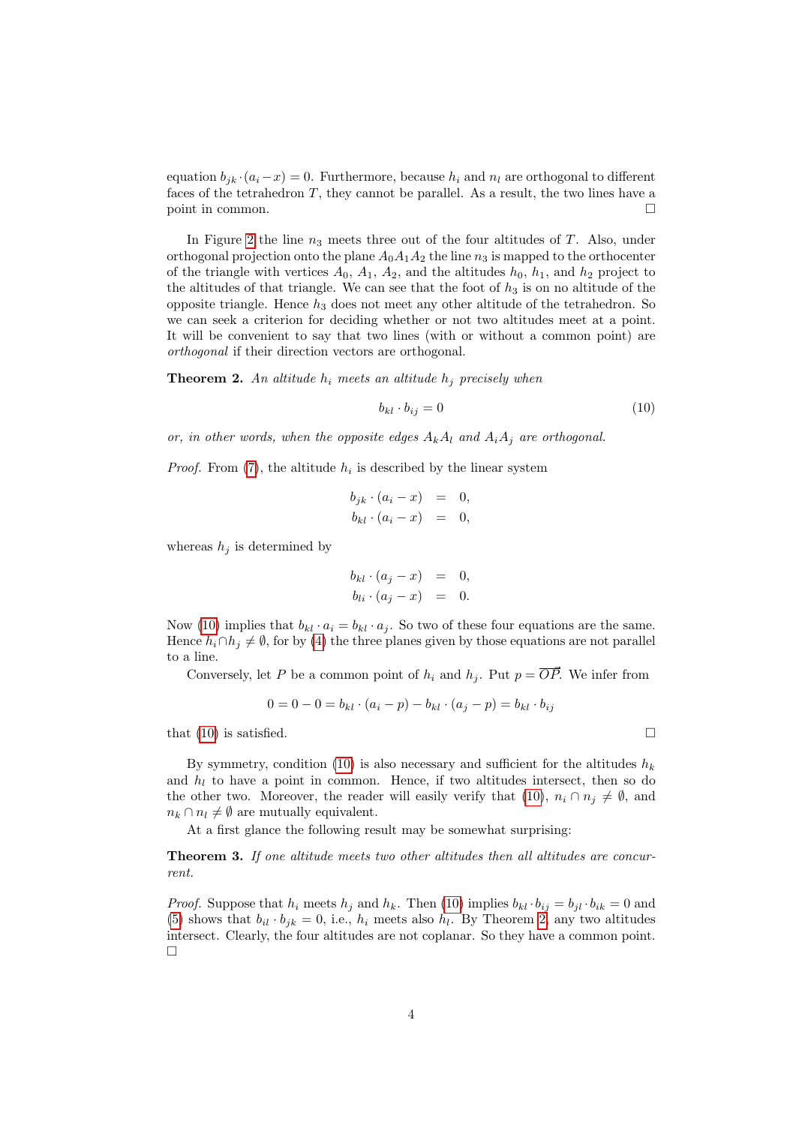equation  $b_{jk} \cdot (a_i-x) = 0$ . Furthermore, because  $h_i$  and  $n_l$  are orthogonal to different faces of the tetrahedron  $T$ , they cannot be parallel. As a result, the two lines have a point in common.

In Figure [2](#page-2-3) the line  $n_3$  meets three out of the four altitudes of  $T$ . Also, under orthogonal projection onto the plane  $A_0A_1A_2$  the line  $n_3$  is mapped to the orthocenter of the triangle with vertices  $A_0$ ,  $A_1$ ,  $A_2$ , and the altitudes  $h_0$ ,  $h_1$ , and  $h_2$  project to the altitudes of that triangle. We can see that the foot of  $h_3$  is on no altitude of the opposite triangle. Hence  $h_3$  does not meet any other altitude of the tetrahedron. So we can seek a criterion for deciding whether or not two altitudes meet at a point. It will be convenient to say that two lines (with or without a common point) are orthogonal if their direction vectors are orthogonal.

<span id="page-3-1"></span>**Theorem 2.** An altitude  $h_i$  meets an altitude  $h_j$  precisely when

<span id="page-3-0"></span>
$$
b_{kl} \cdot b_{ij} = 0 \tag{10}
$$

or, in other words, when the opposite edges  $A_kA_l$  and  $A_iA_j$  are orthogonal.

*Proof.* From  $(7)$ , the altitude  $h_i$  is described by the linear system

$$
b_{jk} \cdot (a_i - x) = 0,
$$
  

$$
b_{kl} \cdot (a_i - x) = 0,
$$

whereas  $h_j$  is determined by

$$
b_{kl} \cdot (a_j - x) = 0,
$$
  

$$
b_{li} \cdot (a_j - x) = 0.
$$

Now [\(10\)](#page-3-0) implies that  $b_{kl} \cdot a_i = b_{kl} \cdot a_j$ . So two of these four equations are the same. Hence  $h_i \cap h_j \neq \emptyset$ , for by [\(4\)](#page-1-1) the three planes given by those equations are not parallel to a line.

Conversely, let P be a common point of  $h_i$  and  $h_j$ . Put  $p = \overrightarrow{OP}$ . We infer from

$$
0 = 0 - 0 = b_{kl} \cdot (a_i - p) - b_{kl} \cdot (a_j - p) = b_{kl} \cdot b_{ij}
$$

that [\(10\)](#page-3-0) is satisfied.  $\square$ 

By symmetry, condition [\(10\)](#page-3-0) is also necessary and sufficient for the altitudes  $h_k$ and  $h_l$  to have a point in common. Hence, if two altitudes intersect, then so do the other two. Moreover, the reader will easily verify that [\(10\)](#page-3-0),  $n_i \cap n_j \neq \emptyset$ , and  $n_k \cap n_l \neq \emptyset$  are mutually equivalent.

At a first glance the following result may be somewhat surprising:

<span id="page-3-2"></span>Theorem 3. If one altitude meets two other altitudes then all altitudes are concurrent.

*Proof.* Suppose that  $h_i$  meets  $h_j$  and  $h_k$ . Then [\(10\)](#page-3-0) implies  $b_{kl} \cdot b_{ij} = b_{jl} \cdot b_{ik} = 0$  and [\(5\)](#page-1-3) shows that  $b_{il} \cdot b_{jk} = 0$ , i.e.,  $h_i$  meets also  $h_l$ . By Theorem [2,](#page-3-1) any two altitudes intersect. Clearly, the four altitudes are not coplanar. So they have a common point.  $\Box$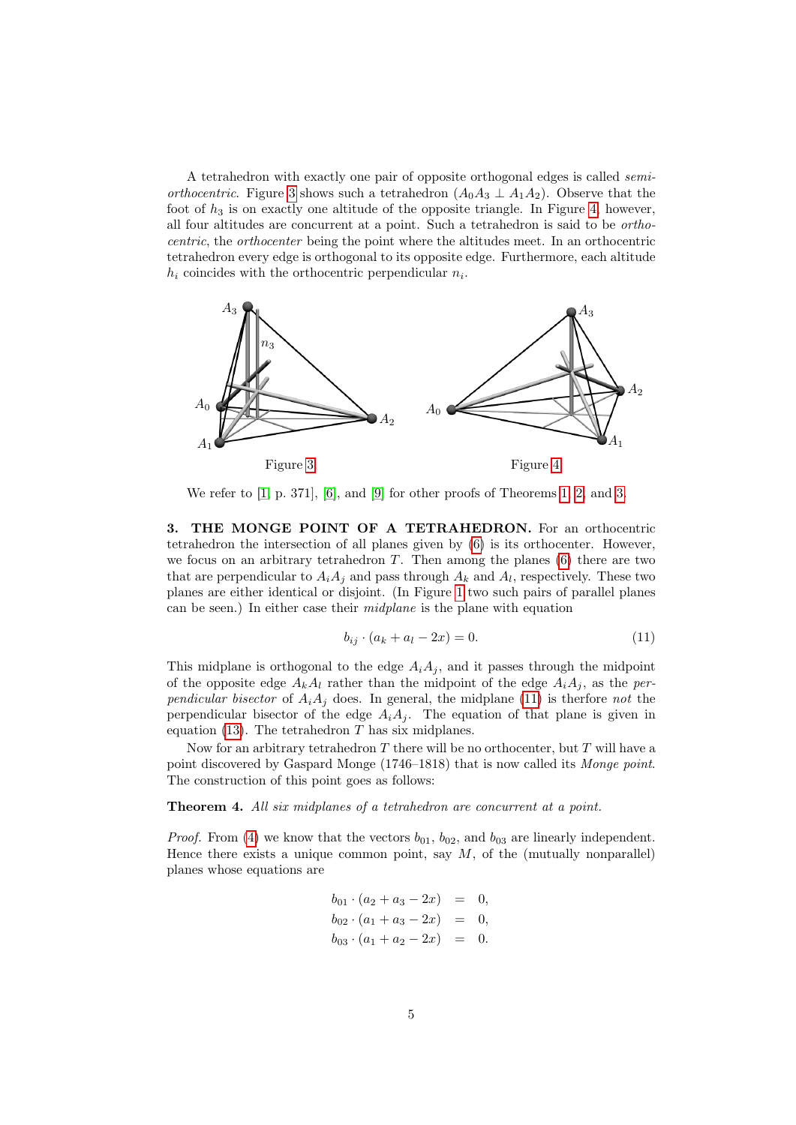A tetrahedron with exactly one pair of opposite orthogonal edges is called semi*orthocentric*. Figure [3](#page-4-1) shows such a tetrahedron  $(A_0A_3 \perp A_1A_2)$ . Observe that the foot of  $h_3$  is on exactly one altitude of the opposite triangle. In Figure [4,](#page-4-2) however, all four altitudes are concurrent at a point. Such a tetrahedron is said to be orthocentric, the orthocenter being the point where the altitudes meet. In an orthocentric tetrahedron every edge is orthogonal to its opposite edge. Furthermore, each altitude  $h_i$  coincides with the orthocentric perpendicular  $n_i$ .



<span id="page-4-1"></span>We refer to [\[1,](#page-13-5) p. 371], [\[6\]](#page-13-6), and [\[9\]](#page-13-7) for other proofs of Theorems [1,](#page-2-4) [2,](#page-3-1) and [3.](#page-3-2)

<span id="page-4-0"></span>3. THE MONGE POINT OF A TETRAHEDRON. For an orthocentric tetrahedron the intersection of all planes given by [\(6\)](#page-1-4) is its orthocenter. However, we focus on an arbitrary tetrahedron  $T$ . Then among the planes  $(6)$  there are two that are perpendicular to  $A_i A_j$  and pass through  $A_k$  and  $A_l$ , respectively. These two planes are either identical or disjoint. (In Figure [1](#page-2-1) two such pairs of parallel planes can be seen.) In either case their *midplane* is the plane with equation

<span id="page-4-3"></span><span id="page-4-2"></span>
$$
b_{ij} \cdot (a_k + a_l - 2x) = 0. \tag{11}
$$

This midplane is orthogonal to the edge  $A_iA_j$ , and it passes through the midpoint of the opposite edge  $A_kA_l$  rather than the midpoint of the edge  $A_iA_j$ , as the perpendicular bisector of  $A_iA_j$  does. In general, the midplane [\(11\)](#page-4-3) is therfore not the perpendicular bisector of the edge  $A_i A_j$ . The equation of that plane is given in equation [\(13\)](#page-6-1). The tetrahedron  $T$  has six midplanes.

Now for an arbitrary tetrahedron  $T$  there will be no orthocenter, but  $T$  will have a point discovered by Gaspard Monge (1746–1818) that is now called its Monge point. The construction of this point goes as follows:

<span id="page-4-4"></span>Theorem 4. All six midplanes of a tetrahedron are concurrent at a point.

*Proof.* From [\(4\)](#page-1-1) we know that the vectors  $b_{01}$ ,  $b_{02}$ , and  $b_{03}$  are linearly independent. Hence there exists a unique common point, say  $M$ , of the (mutually nonparallel) planes whose equations are

<span id="page-4-5"></span>
$$
b_{01} \cdot (a_2 + a_3 - 2x) = 0,
$$
  
\n
$$
b_{02} \cdot (a_1 + a_3 - 2x) = 0,
$$
  
\n
$$
b_{03} \cdot (a_1 + a_2 - 2x) = 0.
$$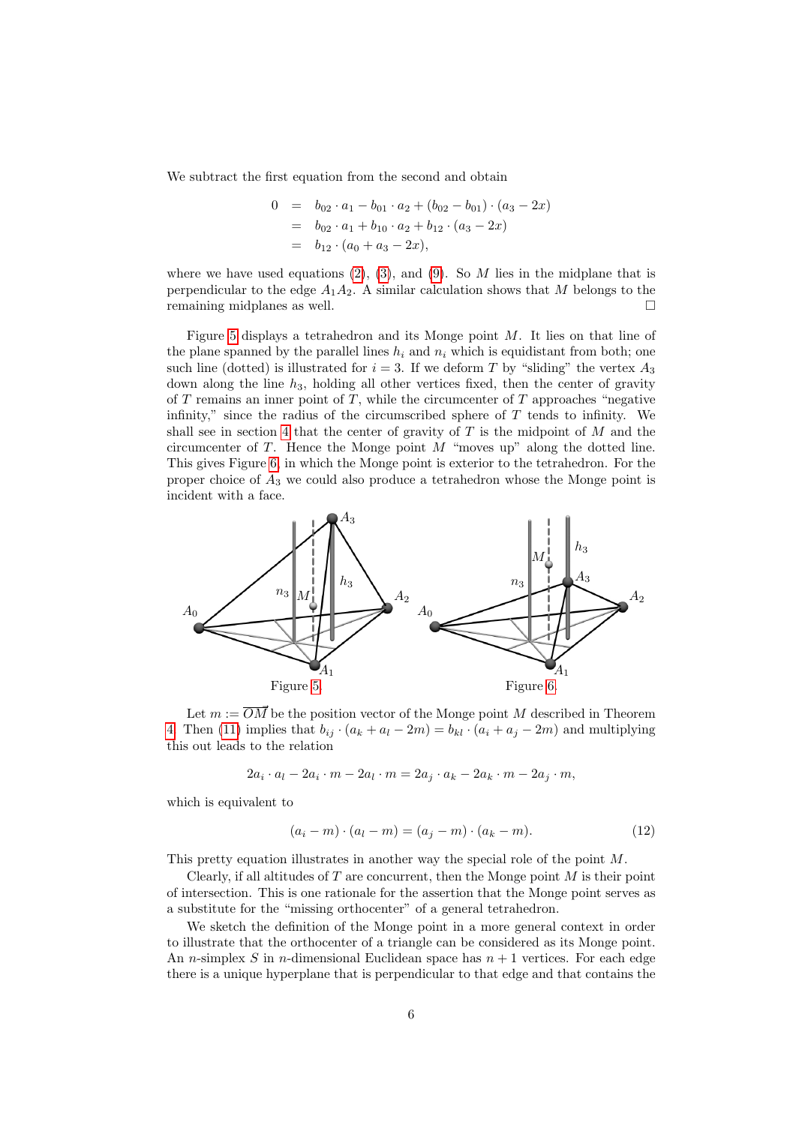We subtract the first equation from the second and obtain

$$
0 = b_{02} \cdot a_1 - b_{01} \cdot a_2 + (b_{02} - b_{01}) \cdot (a_3 - 2x)
$$
  
=  $b_{02} \cdot a_1 + b_{10} \cdot a_2 + b_{12} \cdot (a_3 - 2x)$   
=  $b_{12} \cdot (a_0 + a_3 - 2x)$ ,

where we have used equations [\(2\)](#page-1-1), [\(3\)](#page-1-1), and [\(9\)](#page-2-5). So M lies in the midplane that is perpendicular to the edge  $A_1A_2$ . A similar calculation shows that M belongs to the remaining midplanes as well.

Figure [5](#page-5-0) displays a tetrahedron and its Monge point  $M$ . It lies on that line of the plane spanned by the parallel lines  $h_i$  and  $n_i$  which is equidistant from both; one such line (dotted) is illustrated for  $i = 3$ . If we deform T by "sliding" the vertex  $A_3$ down along the line  $h_3$ , holding all other vertices fixed, then the center of gravity of  $T$  remains an inner point of  $T$ , while the circumcenter of  $T$  approaches "negative infinity," since the radius of the circumscribed sphere of  $T$  tends to infinity. We shall see in section [4](#page-6-0) that the center of gravity of  $T$  is the midpoint of  $M$  and the circumcenter of  $T$ . Hence the Monge point  $M$  "moves up" along the dotted line. This gives Figure [6,](#page-5-1) in which the Monge point is exterior to the tetrahedron. For the proper choice of  $A_3$  we could also produce a tetrahedron whose the Monge point is incident with a face.



<span id="page-5-0"></span>Let  $m := \overline{OM}$  be the position vector of the Monge point M described in Theorem [4.](#page-4-4) Then [\(11\)](#page-4-3) implies that  $b_{ij} \cdot (a_k + a_l - 2m) = b_{kl} \cdot (a_i + a_j - 2m)$  and multiplying this out leads to the relation

<span id="page-5-1"></span>
$$
2a_i \cdot a_l - 2a_i \cdot m - 2a_l \cdot m = 2a_j \cdot a_k - 2a_k \cdot m - 2a_j \cdot m,
$$

which is equivalent to

$$
(a_i - m) \cdot (a_l - m) = (a_j - m) \cdot (a_k - m). \tag{12}
$$

This pretty equation illustrates in another way the special role of the point M.

Clearly, if all altitudes of  $T$  are concurrent, then the Monge point  $M$  is their point of intersection. This is one rationale for the assertion that the Monge point serves as a substitute for the "missing orthocenter" of a general tetrahedron.

We sketch the definition of the Monge point in a more general context in order to illustrate that the orthocenter of a triangle can be considered as its Monge point. An *n*-simplex S in *n*-dimensional Euclidean space has  $n + 1$  vertices. For each edge there is a unique hyperplane that is perpendicular to that edge and that contains the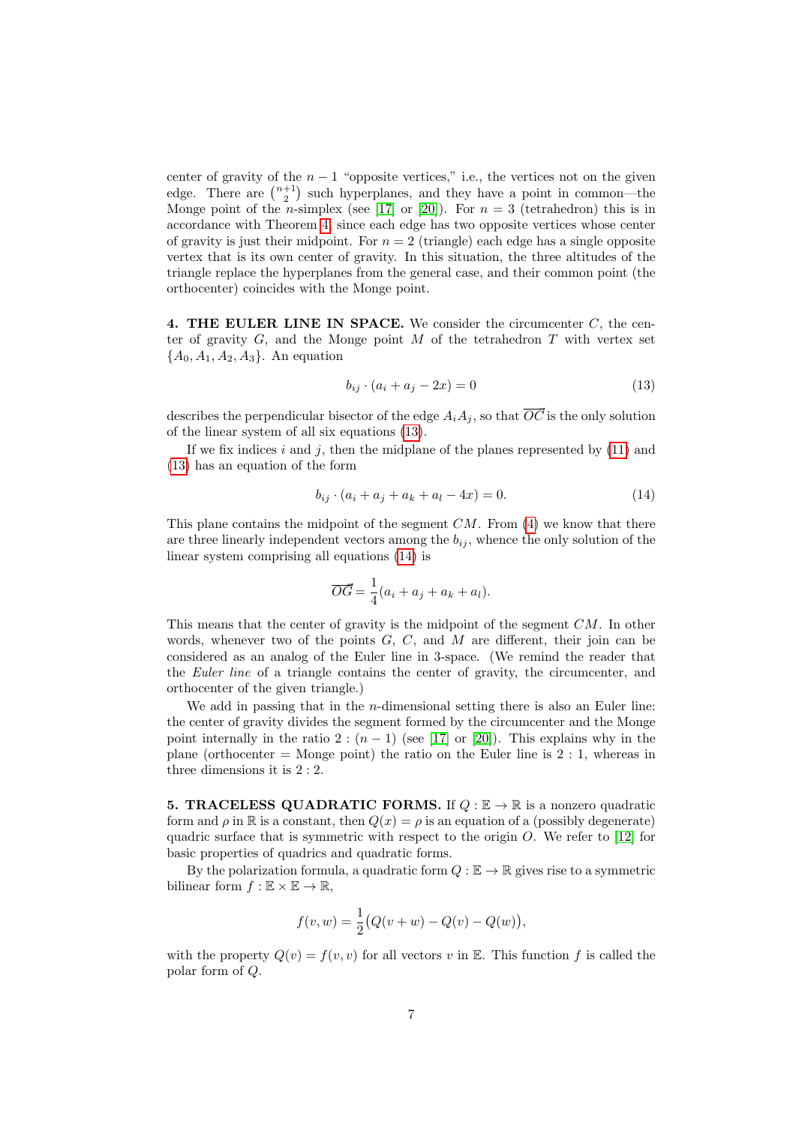center of gravity of the  $n - 1$  "opposite vertices," i.e., the vertices not on the given edge. There are  $\binom{n+1}{2}$  such hyperplanes, and they have a point in common—the Monge point of the *n*-simplex (see [\[17\]](#page-13-3) or [\[20\]](#page-13-1)). For  $n = 3$  (tetrahedron) this is in accordance with Theorem [4,](#page-4-4) since each edge has two opposite vertices whose center of gravity is just their midpoint. For  $n = 2$  (triangle) each edge has a single opposite vertex that is its own center of gravity. In this situation, the three altitudes of the triangle replace the hyperplanes from the general case, and their common point (the orthocenter) coincides with the Monge point.

<span id="page-6-0"></span>4. THE EULER LINE IN SPACE. We consider the circumcenter  $C$ , the center of gravity  $G$ , and the Monge point  $M$  of the tetrahedron  $T$  with vertex set  ${A_0, A_1, A_2, A_3}.$  An equation

<span id="page-6-1"></span>
$$
b_{ij} \cdot (a_i + a_j - 2x) = 0 \tag{13}
$$

describes the perpendicular bisector of the edge  $A_iA_j$ , so that  $\overline{OC}$  is the only solution of the linear system of all six equations [\(13\)](#page-6-1).

If we fix indices i and j, then the midplane of the planes represented by  $(11)$  and [\(13\)](#page-6-1) has an equation of the form

<span id="page-6-2"></span>
$$
b_{ij} \cdot (a_i + a_j + a_k + a_l - 4x) = 0. \tag{14}
$$

This plane contains the midpoint of the segment  $CM$ . From  $(4)$  we know that there are three linearly independent vectors among the  $b_{ij}$ , whence the only solution of the linear system comprising all equations [\(14\)](#page-6-2) is

$$
\overrightarrow{OG} = \frac{1}{4}(a_i + a_j + a_k + a_l).
$$

This means that the center of gravity is the midpoint of the segment CM. In other words, whenever two of the points  $G, C$ , and M are different, their join can be considered as an analog of the Euler line in 3-space. (We remind the reader that the Euler line of a triangle contains the center of gravity, the circumcenter, and orthocenter of the given triangle.)

We add in passing that in the *n*-dimensional setting there is also an Euler line: the center of gravity divides the segment formed by the circumcenter and the Monge point internally in the ratio 2 :  $(n-1)$  (see [\[17\]](#page-13-3) or [\[20\]](#page-13-1)). This explains why in the plane (orthocenter  $=$  Monge point) the ratio on the Euler line is 2 : 1, whereas in three dimensions it is 2 : 2.

<span id="page-6-3"></span>**5. TRACELESS QUADRATIC FORMS.** If  $Q : \mathbb{E} \to \mathbb{R}$  is a nonzero quadratic form and  $\rho$  in R is a constant, then  $Q(x) = \rho$  is an equation of a (possibly degenerate) quadric surface that is symmetric with respect to the origin  $O$ . We refer to [\[12\]](#page-13-8) for basic properties of quadrics and quadratic forms.

By the polarization formula, a quadratic form  $Q : \mathbb{E} \to \mathbb{R}$  gives rise to a symmetric bilinear form  $f : \mathbb{E} \times \mathbb{E} \to \mathbb{R}$ ,

$$
f(v, w) = \frac{1}{2} (Q(v + w) - Q(v) - Q(w)),
$$

with the property  $Q(v) = f(v, v)$  for all vectors v in E. This function f is called the polar form of Q.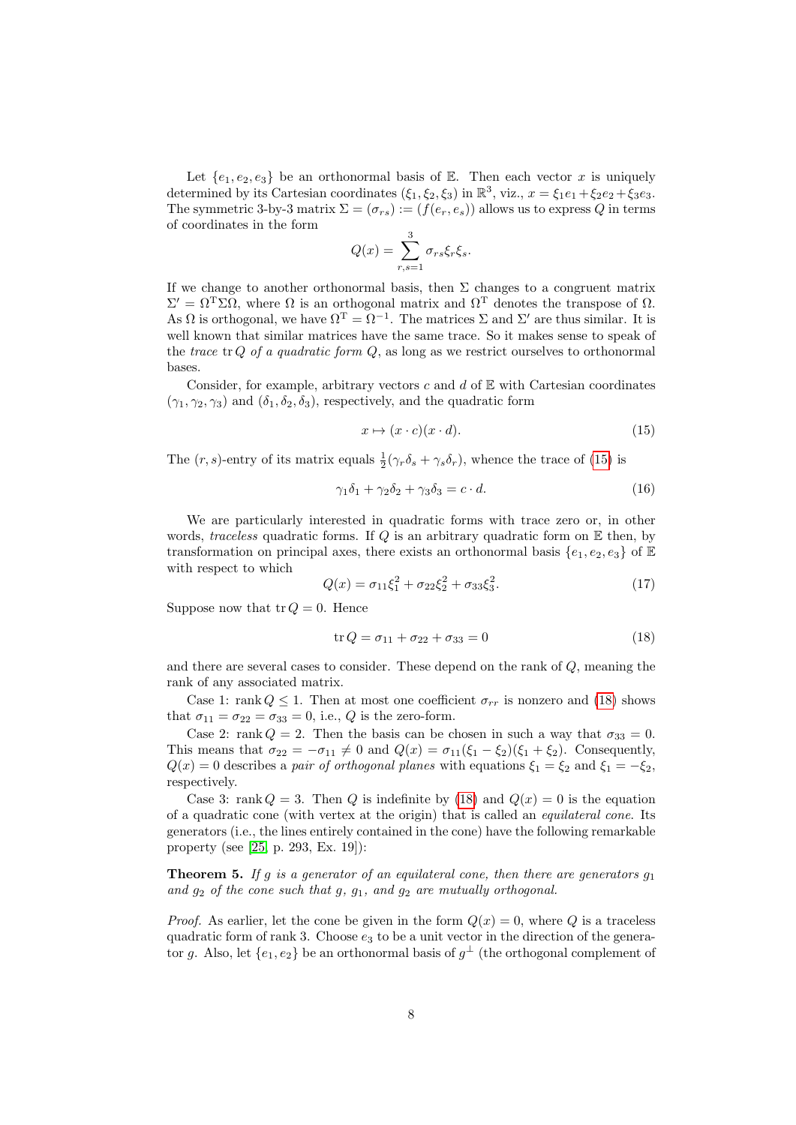Let  $\{e_1, e_2, e_3\}$  be an orthonormal basis of E. Then each vector x is uniquely determined by its Cartesian coordinates  $(\xi_1, \xi_2, \xi_3)$  in  $\mathbb{R}^3$ , viz.,  $x = \xi_1 e_1 + \xi_2 e_2 + \xi_3 e_3$ . The symmetric 3-by-3 matrix  $\Sigma = (\sigma_{rs}) := (f(e_r, e_s))$  allows us to express Q in terms of coordinates in the form

$$
Q(x) = \sum_{r,s=1}^{3} \sigma_{rs} \xi_r \xi_s.
$$

If we change to another orthonormal basis, then  $\Sigma$  changes to a congruent matrix  $\Sigma' = \Omega^{\mathrm{T}} \Sigma \Omega$ , where  $\Omega$  is an orthogonal matrix and  $\Omega^{\mathrm{T}}$  denotes the transpose of  $\Omega$ . As  $\Omega$  is orthogonal, we have  $\Omega^T = \Omega^{-1}$ . The matrices  $\Sigma$  and  $\Sigma'$  are thus similar. It is well known that similar matrices have the same trace. So it makes sense to speak of the trace tr Q of a quadratic form  $Q$ , as long as we restrict ourselves to orthonormal bases.

Consider, for example, arbitrary vectors  $c$  and  $d$  of  $E$  with Cartesian coordinates  $(\gamma_1, \gamma_2, \gamma_3)$  and  $(\delta_1, \delta_2, \delta_3)$ , respectively, and the quadratic form

<span id="page-7-0"></span>
$$
x \mapsto (x \cdot c)(x \cdot d). \tag{15}
$$

The  $(r, s)$ -entry of its matrix equals  $\frac{1}{2}(\gamma_r \delta_s + \gamma_s \delta_r)$ , whence the trace of [\(15\)](#page-7-0) is

<span id="page-7-4"></span>
$$
\gamma_1 \delta_1 + \gamma_2 \delta_2 + \gamma_3 \delta_3 = c \cdot d. \tag{16}
$$

We are particularly interested in quadratic forms with trace zero or, in other words, traceless quadratic forms. If Q is an arbitrary quadratic form on  $E$  then, by transformation on principal axes, there exists an orthonormal basis  $\{e_1, e_2, e_3\}$  of E with respect to which

<span id="page-7-3"></span>
$$
Q(x) = \sigma_{11}\xi_1^2 + \sigma_{22}\xi_2^2 + \sigma_{33}\xi_3^2. \tag{17}
$$

Suppose now that  $\operatorname{tr} Q = 0$ . Hence

<span id="page-7-1"></span>
$$
\text{tr}\,Q = \sigma_{11} + \sigma_{22} + \sigma_{33} = 0\tag{18}
$$

and there are several cases to consider. These depend on the rank of Q, meaning the rank of any associated matrix.

Case 1: rank  $Q \leq 1$ . Then at most one coefficient  $\sigma_{rr}$  is nonzero and [\(18\)](#page-7-1) shows that  $\sigma_{11} = \sigma_{22} = \sigma_{33} = 0$ , i.e., Q is the zero-form.

Case 2: rank  $Q = 2$ . Then the basis can be chosen in such a way that  $\sigma_{33} = 0$ . This means that  $\sigma_{22} = -\sigma_{11} \neq 0$  and  $Q(x) = \sigma_{11}(\xi_1 - \xi_2)(\xi_1 + \xi_2)$ . Consequently,  $Q(x) = 0$  describes a pair of orthogonal planes with equations  $\xi_1 = \xi_2$  and  $\xi_1 = -\xi_2$ , respectively.

Case 3: rank  $Q = 3$ . Then Q is indefinite by [\(18\)](#page-7-1) and  $Q(x) = 0$  is the equation of a quadratic cone (with vertex at the origin) that is called an equilateral cone. Its generators (i.e., the lines entirely contained in the cone) have the following remarkable property (see [\[25,](#page-14-2) p. 293, Ex. 19]):

<span id="page-7-2"></span>**Theorem 5.** If g is a generator of an equilateral cone, then there are generators  $g_1$ and  $g_2$  of the cone such that g,  $g_1$ , and  $g_2$  are mutually orthogonal.

*Proof.* As earlier, let the cone be given in the form  $Q(x) = 0$ , where Q is a traceless quadratic form of rank 3. Choose  $e_3$  to be a unit vector in the direction of the generator g. Also, let  $\{e_1, e_2\}$  be an orthonormal basis of  $g^{\perp}$  (the orthogonal complement of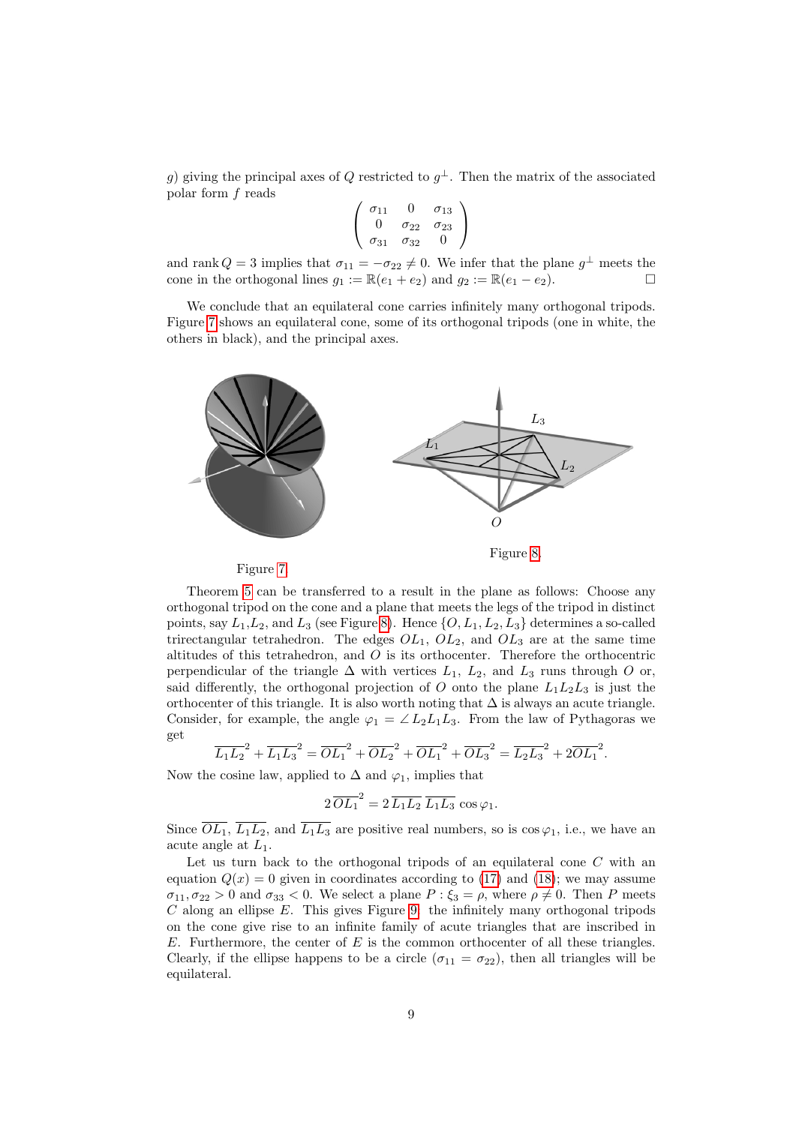g) giving the principal axes of Q restricted to  $g^{\perp}$ . Then the matrix of the associated polar form f reads

$$
\left(\begin{array}{ccc}\n\sigma_{11} & 0 & \sigma_{13} \\
0 & \sigma_{22} & \sigma_{23} \\
\sigma_{31} & \sigma_{32} & 0\n\end{array}\right)
$$

and rank  $Q = 3$  implies that  $\sigma_{11} = -\sigma_{22} \neq 0$ . We infer that the plane  $g^{\perp}$  meets the cone in the orthogonal lines  $g_1 := \mathbb{R}(e_1 + e_2)$  and  $g_2 := \mathbb{R}(e_1 - e_2)$ .

We conclude that an equilateral cone carries infinitely many orthogonal tripods. Figure [7](#page-8-0) shows an equilateral cone, some of its orthogonal tripods (one in white, the others in black), and the principal axes.





<span id="page-8-1"></span>

<span id="page-8-0"></span>Theorem [5](#page-7-2) can be transferred to a result in the plane as follows: Choose any orthogonal tripod on the cone and a plane that meets the legs of the tripod in distinct points, say  $L_1, L_2$ , and  $L_3$  (see Figure [8\)](#page-8-1). Hence  $\{O, L_1, L_2, L_3\}$  determines a so-called trirectangular tetrahedron. The edges  $OL_1$ ,  $OL_2$ , and  $OL_3$  are at the same time altitudes of this tetrahedron, and O is its orthocenter. Therefore the orthocentric perpendicular of the triangle  $\Delta$  with vertices  $L_1$ ,  $L_2$ , and  $L_3$  runs through O or, said differently, the orthogonal projection of O onto the plane  $L_1L_2L_3$  is just the orthocenter of this triangle. It is also worth noting that  $\Delta$  is always an acute triangle. Consider, for example, the angle  $\varphi_1 = \angle L_2L_1L_3$ . From the law of Pythagoras we get

$$
\overline{L_1L_2}^2 + \overline{L_1L_3}^2 = \overline{OL_1}^2 + \overline{OL_2}^2 + \overline{OL_1}^2 + \overline{OL_3}^2 = \overline{L_2L_3}^2 + 2\overline{OL_1}^2.
$$

Now the cosine law, applied to  $\Delta$  and  $\varphi_1$ , implies that

$$
2\,\overline{OL_1}^2 = 2\,\overline{L_1L_2}\,\,\overline{L_1L_3}\,\cos\varphi_1.
$$

Since  $\overline{OL_1}$ ,  $\overline{L_1L_2}$ , and  $\overline{L_1L_3}$  are positive real numbers, so is  $\cos\varphi_1$ , i.e., we have an acute angle at  $L_1$ .

Let us turn back to the orthogonal tripods of an equilateral cone  $C$  with an equation  $Q(x) = 0$  given in coordinates according to [\(17\)](#page-7-3) and [\(18\)](#page-7-1); we may assume  $\sigma_{11}, \sigma_{22} > 0$  and  $\sigma_{33} < 0$ . We select a plane  $P : \xi_3 = \rho$ , where  $\rho \neq 0$ . Then P meets  $C$  along an ellipse  $E$ . This gives Figure [9:](#page-9-1) the infinitely many orthogonal tripods on the cone give rise to an infinite family of acute triangles that are inscribed in  $E$ . Furthermore, the center of  $E$  is the common orthocenter of all these triangles. Clearly, if the ellipse happens to be a circle  $(\sigma_{11} = \sigma_{22})$ , then all triangles will be equilateral.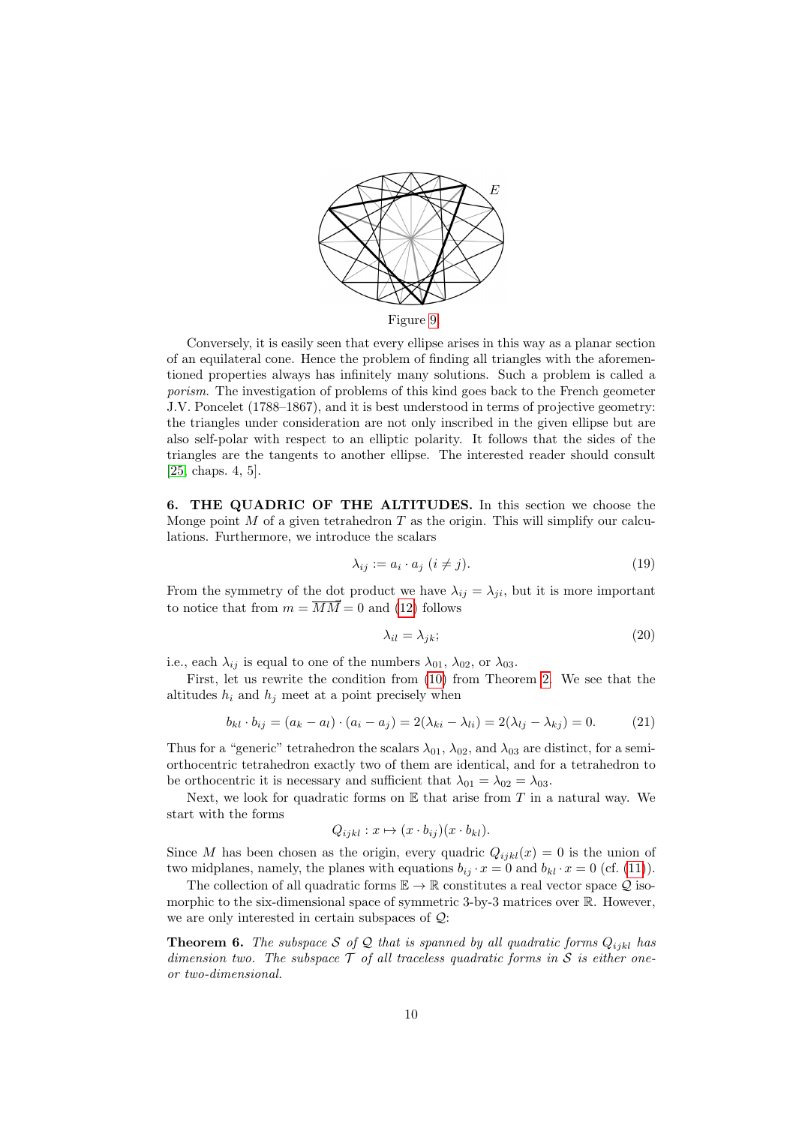

<span id="page-9-1"></span>Conversely, it is easily seen that every ellipse arises in this way as a planar section of an equilateral cone. Hence the problem of finding all triangles with the aforementioned properties always has infinitely many solutions. Such a problem is called a porism. The investigation of problems of this kind goes back to the French geometer J.V. Poncelet (1788–1867), and it is best understood in terms of projective geometry: the triangles under consideration are not only inscribed in the given ellipse but are also self-polar with respect to an elliptic polarity. It follows that the sides of the triangles are the tangents to another ellipse. The interested reader should consult [\[25,](#page-14-2) chaps. 4, 5].

<span id="page-9-0"></span>6. THE QUADRIC OF THE ALTITUDES. In this section we choose the Monge point  $M$  of a given tetrahedron  $T$  as the origin. This will simplify our calculations. Furthermore, we introduce the scalars

<span id="page-9-4"></span>
$$
\lambda_{ij} := a_i \cdot a_j \ (i \neq j). \tag{19}
$$

From the symmetry of the dot product we have  $\lambda_{ij} = \lambda_{ji}$ , but it is more important to notice that from  $m = \overline{MM} = 0$  and [\(12\)](#page-4-5) follows

<span id="page-9-3"></span>
$$
\lambda_{il} = \lambda_{jk};\tag{20}
$$

i.e., each  $\lambda_{ij}$  is equal to one of the numbers  $\lambda_{01}$ ,  $\lambda_{02}$ , or  $\lambda_{03}$ .

First, let us rewrite the condition from [\(10\)](#page-3-0) from Theorem [2.](#page-3-1) We see that the altitudes  $h_i$  and  $h_j$  meet at a point precisely when

<span id="page-9-2"></span>
$$
b_{kl} \cdot b_{ij} = (a_k - a_l) \cdot (a_i - a_j) = 2(\lambda_{ki} - \lambda_{li}) = 2(\lambda_{lj} - \lambda_{kj}) = 0.
$$
 (21)

Thus for a "generic" tetrahedron the scalars  $\lambda_{01}$ ,  $\lambda_{02}$ , and  $\lambda_{03}$  are distinct, for a semiorthocentric tetrahedron exactly two of them are identical, and for a tetrahedron to be orthocentric it is necessary and sufficient that  $\lambda_{01} = \lambda_{02} = \lambda_{03}$ .

Next, we look for quadratic forms on  $E$  that arise from T in a natural way. We start with the forms

$$
Q_{ijkl} : x \mapsto (x \cdot b_{ij})(x \cdot b_{kl}).
$$

Since M has been chosen as the origin, every quadric  $Q_{ijkl}(x) = 0$  is the union of two midplanes, namely, the planes with equations  $b_{ij} \cdot x = 0$  and  $b_{kl} \cdot x = 0$  (cf. [\(11\)](#page-4-3)).

The collection of all quadratic forms  $\mathbb{E} \to \mathbb{R}$  constitutes a real vector space Q isomorphic to the six-dimensional space of symmetric 3-by-3 matrices over  $\mathbb R$ . However, we are only interested in certain subspaces of  $\mathcal{Q}$ :

**Theorem 6.** The subspace S of Q that is spanned by all quadratic forms  $Q_{ijkl}$  has dimension two. The subspace  $\mathcal T$  of all traceless quadratic forms in  $\mathcal S$  is either oneor two-dimensional.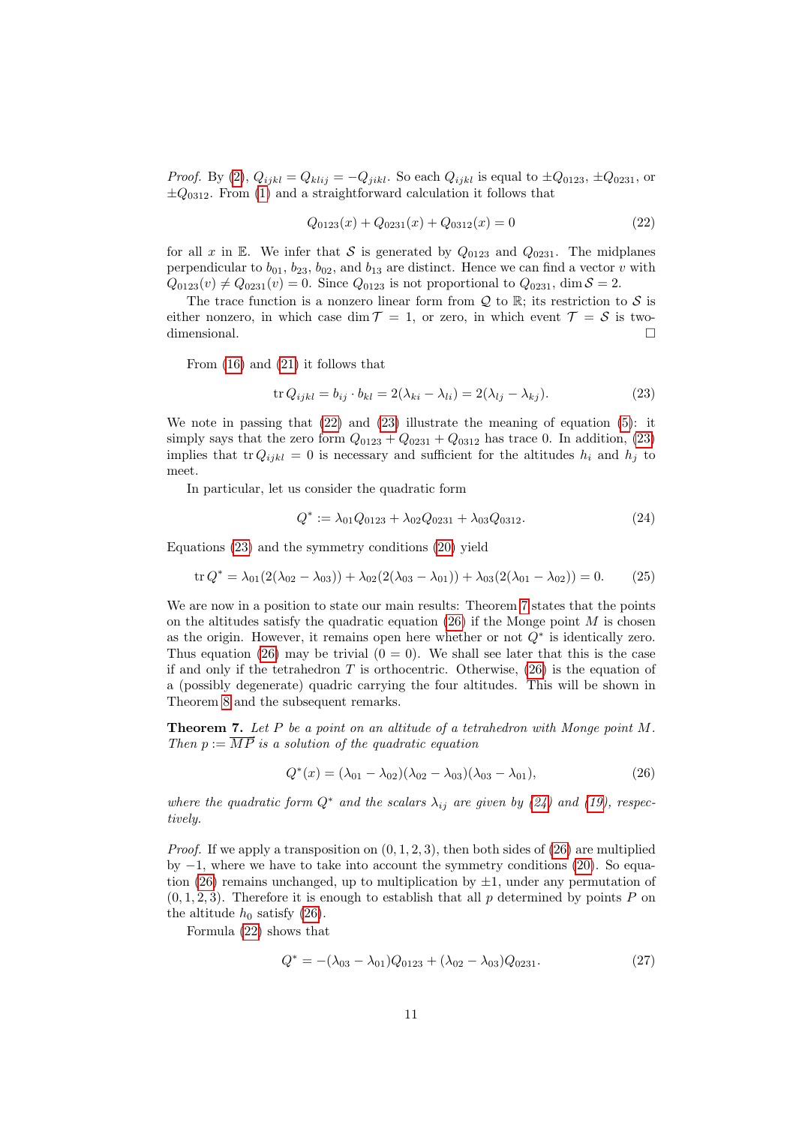*Proof.* By [\(2\)](#page-1-1),  $Q_{ijkl} = Q_{klij} = -Q_{jikl}$ . So each  $Q_{ijkl}$  is equal to  $\pm Q_{0123}$ ,  $\pm Q_{0231}$ , or  $\pm Q_{0312}$ . From [\(1\)](#page-1-2) and a straightforward calculation it follows that

<span id="page-10-0"></span>
$$
Q_{0123}(x) + Q_{0231}(x) + Q_{0312}(x) = 0
$$
\n(22)

for all x in E. We infer that S is generated by  $Q_{0123}$  and  $Q_{0231}$ . The midplanes perpendicular to  $b_{01}$ ,  $b_{23}$ ,  $b_{02}$ , and  $b_{13}$  are distinct. Hence we can find a vector v with  $Q_{0123}(v) \neq Q_{0231}(v) = 0$ . Since  $Q_{0123}$  is not proportional to  $Q_{0231}$ , dim  $S = 2$ .

The trace function is a nonzero linear form from  $\mathcal{Q}$  to  $\mathbb{R}$ ; its restriction to  $\mathcal{S}$  is either nonzero, in which case dim  $\mathcal{T} = 1$ , or zero, in which event  $\mathcal{T} = \mathcal{S}$  is twodimensional.

From [\(16\)](#page-7-4) and [\(21\)](#page-9-2) it follows that

<span id="page-10-1"></span>
$$
\text{tr}\,Q_{ijkl} = b_{ij} \cdot b_{kl} = 2(\lambda_{ki} - \lambda_{li}) = 2(\lambda_{lj} - \lambda_{kj}).\tag{23}
$$

We note in passing that  $(22)$  and  $(23)$  illustrate the meaning of equation  $(5)$ : it simply says that the zero form  $Q_{0123} + Q_{0231} + Q_{0312}$  has trace 0. In addition, [\(23\)](#page-10-1) implies that tr $Q_{ijkl} = 0$  is necessary and sufficient for the altitudes  $h_i$  and  $h_j$  to meet.

In particular, let us consider the quadratic form

<span id="page-10-4"></span>
$$
Q^* := \lambda_{01} Q_{0123} + \lambda_{02} Q_{0231} + \lambda_{03} Q_{0312}.
$$
 (24)

Equations [\(23\)](#page-10-1) and the symmetry conditions [\(20\)](#page-9-3) yield

<span id="page-10-5"></span>
$$
\operatorname{tr} Q^* = \lambda_{01}(2(\lambda_{02} - \lambda_{03})) + \lambda_{02}(2(\lambda_{03} - \lambda_{01})) + \lambda_{03}(2(\lambda_{01} - \lambda_{02})) = 0. \tag{25}
$$

We are now in a position to state our main results: Theorem [7](#page-10-2) states that the points on the altitudes satisfy the quadratic equation  $(26)$  if the Monge point M is chosen as the origin. However, it remains open here whether or not  $Q^*$  is identically zero. Thus equation [\(26\)](#page-10-3) may be trivial  $(0 = 0)$ . We shall see later that this is the case if and only if the tetrahedron  $T$  is orthocentric. Otherwise,  $(26)$  is the equation of a (possibly degenerate) quadric carrying the four altitudes. This will be shown in Theorem [8](#page-11-0) and the subsequent remarks.

<span id="page-10-2"></span>**Theorem 7.** Let P be a point on an altitude of a tetrahedron with Monge point  $M$ . Then  $p := \overrightarrow{MP}$  is a solution of the quadratic equation

<span id="page-10-3"></span>
$$
Q^*(x) = (\lambda_{01} - \lambda_{02})(\lambda_{02} - \lambda_{03})(\lambda_{03} - \lambda_{01}),
$$
\n(26)

where the quadratic form  $Q^*$  and the scalars  $\lambda_{ij}$  are given by [\(24\)](#page-10-4) and [\(19\)](#page-9-4), respectively.

*Proof.* If we apply a transposition on  $(0, 1, 2, 3)$ , then both sides of  $(26)$  are multiplied by  $-1$ , where we have to take into account the symmetry conditions [\(20\)](#page-9-3). So equa-tion [\(26\)](#page-10-3) remains unchanged, up to multiplication by  $\pm 1$ , under any permutation of  $(0, 1, 2, 3)$ . Therefore it is enough to establish that all p determined by points P on the altitude  $h_0$  satisfy [\(26\)](#page-10-3).

Formula [\(22\)](#page-10-0) shows that

<span id="page-10-6"></span>
$$
Q^* = -(\lambda_{03} - \lambda_{01})Q_{0123} + (\lambda_{02} - \lambda_{03})Q_{0231}.
$$
 (27)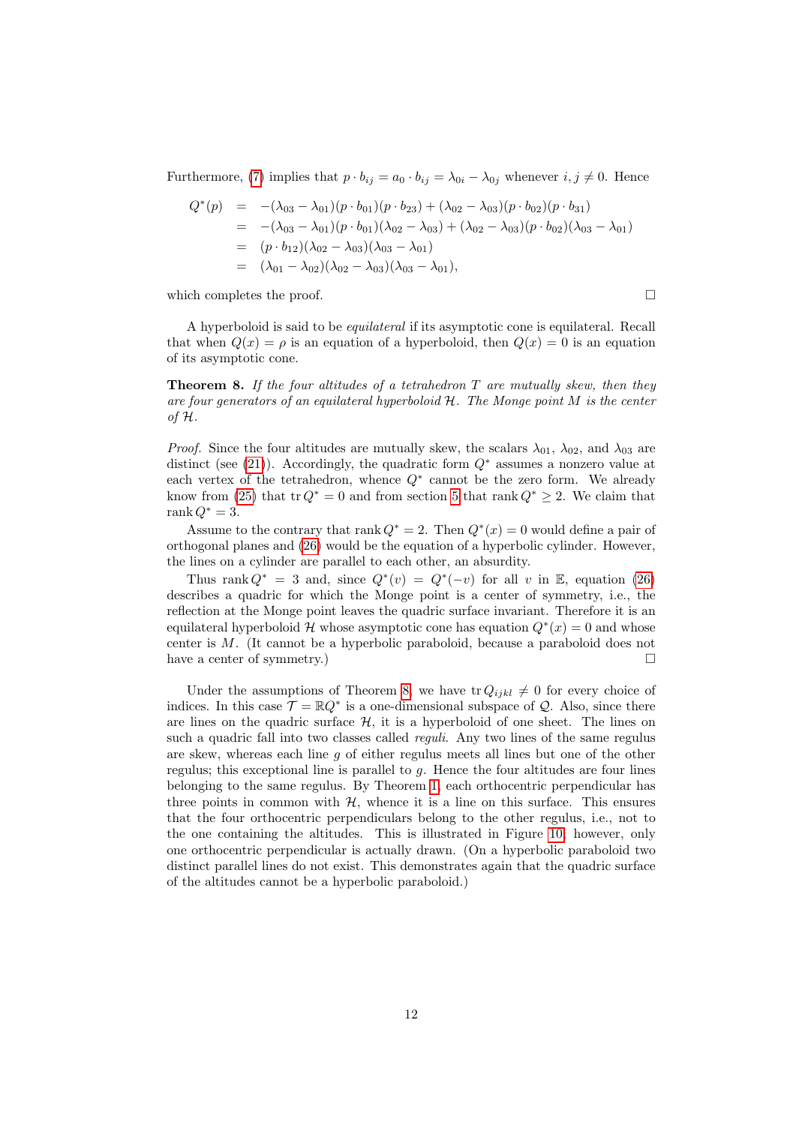Furthermore, [\(7\)](#page-2-0) implies that  $p \cdot b_{ij} = a_0 \cdot b_{ij} = \lambda_{0i} - \lambda_{0j}$  whenever  $i, j \neq 0$ . Hence

$$
Q^*(p) = -(\lambda_{03} - \lambda_{01})(p \cdot b_{01})(p \cdot b_{23}) + (\lambda_{02} - \lambda_{03})(p \cdot b_{02})(p \cdot b_{31})
$$
  
\n
$$
= -(\lambda_{03} - \lambda_{01})(p \cdot b_{01})(\lambda_{02} - \lambda_{03}) + (\lambda_{02} - \lambda_{03})(p \cdot b_{02})(\lambda_{03} - \lambda_{01})
$$
  
\n
$$
= (p \cdot b_{12})(\lambda_{02} - \lambda_{03})(\lambda_{03} - \lambda_{01})
$$
  
\n
$$
= (\lambda_{01} - \lambda_{02})(\lambda_{02} - \lambda_{03})(\lambda_{03} - \lambda_{01}),
$$

which completes the proof.  $\Box$ 

A hyperboloid is said to be *equilateral* if its asymptotic cone is equilateral. Recall that when  $Q(x) = \rho$  is an equation of a hyperboloid, then  $Q(x) = 0$  is an equation of its asymptotic cone.

<span id="page-11-0"></span>**Theorem 8.** If the four altitudes of a tetrahedron  $T$  are mutually skew, then they are four generators of an equilateral hyperboloid  $H$ . The Monge point  $M$  is the center of H.

*Proof.* Since the four altitudes are mutually skew, the scalars  $\lambda_{01}$ ,  $\lambda_{02}$ , and  $\lambda_{03}$  are distinct (see [\(21\)](#page-9-2)). Accordingly, the quadratic form  $Q^*$  assumes a nonzero value at each vertex of the tetrahedron, whence  $Q^*$  cannot be the zero form. We already know from [\(25\)](#page-10-5) that tr  $Q^* = 0$  and from section [5](#page-6-3) that rank  $Q^* \geq 2$ . We claim that rank  $Q^* = 3$ .

Assume to the contrary that rank  $Q^* = 2$ . Then  $Q^*(x) = 0$  would define a pair of orthogonal planes and [\(26\)](#page-10-3) would be the equation of a hyperbolic cylinder. However, the lines on a cylinder are parallel to each other, an absurdity.

Thus rank  $Q^* = 3$  and, since  $Q^*(v) = Q^*(-v)$  for all v in E, equation [\(26\)](#page-10-3) describes a quadric for which the Monge point is a center of symmetry, i.e., the reflection at the Monge point leaves the quadric surface invariant. Therefore it is an equilateral hyperboloid H whose asymptotic cone has equation  $Q^*(x) = 0$  and whose center is M. (It cannot be a hyperbolic paraboloid, because a paraboloid does not have a center of symmetry.)

Under the assumptions of Theorem [8,](#page-11-0) we have  $\text{tr } Q_{ijkl} \neq 0$  for every choice of indices. In this case  $\mathcal{T} = \mathbb{R}Q^*$  is a one-dimensional subspace of Q. Also, since there are lines on the quadric surface  $H$ , it is a hyperboloid of one sheet. The lines on such a quadric fall into two classes called *reguli*. Any two lines of the same regulus are skew, whereas each line  $q$  of either regulus meets all lines but one of the other regulus; this exceptional line is parallel to  $g$ . Hence the four altitudes are four lines belonging to the same regulus. By Theorem [1,](#page-2-4) each orthocentric perpendicular has three points in common with  $H$ , whence it is a line on this surface. This ensures that the four orthocentric perpendiculars belong to the other regulus, i.e., not to the one containing the altitudes. This is illustrated in Figure [10;](#page-12-1) however, only one orthocentric perpendicular is actually drawn. (On a hyperbolic paraboloid two distinct parallel lines do not exist. This demonstrates again that the quadric surface of the altitudes cannot be a hyperbolic paraboloid.)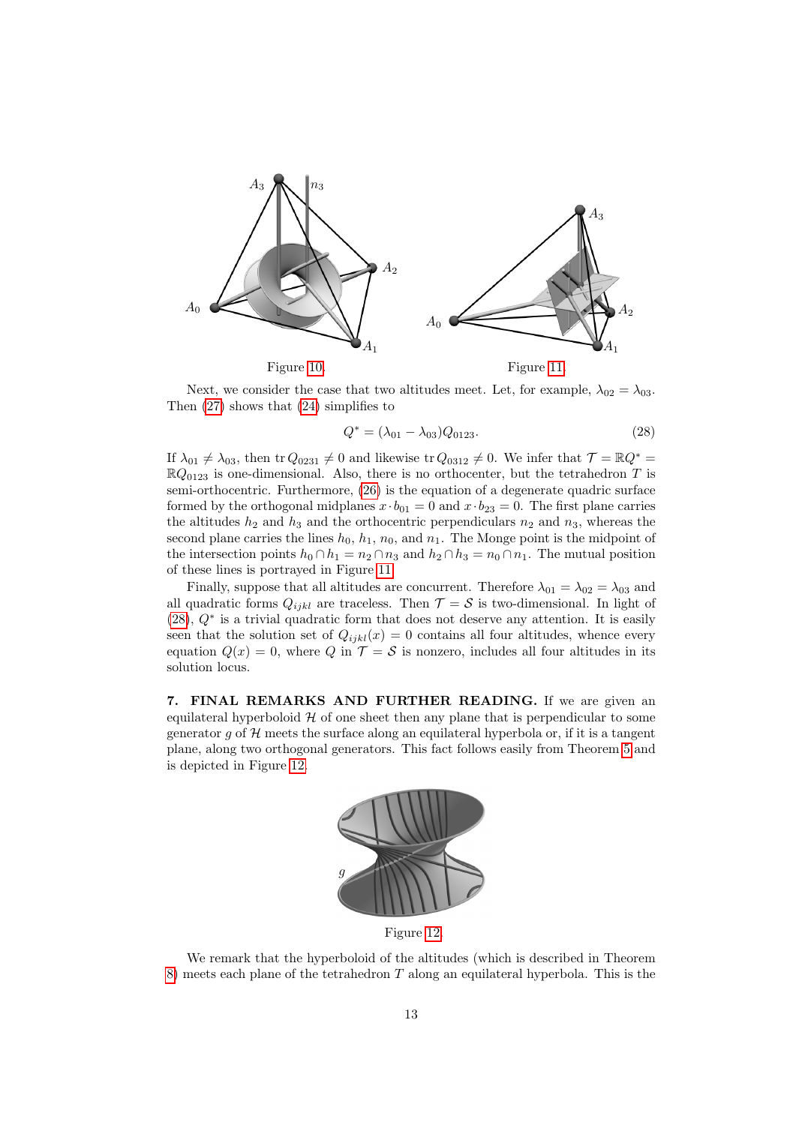

<span id="page-12-1"></span>Next, we consider the case that two altitudes meet. Let, for example,  $\lambda_{02} = \lambda_{03}$ . Then [\(27\)](#page-10-6) shows that [\(24\)](#page-10-4) simplifies to

<span id="page-12-3"></span><span id="page-12-2"></span>
$$
Q^* = (\lambda_{01} - \lambda_{03})Q_{0123}.
$$
\n(28)

If  $\lambda_{01} \neq \lambda_{03}$ , then tr  $Q_{0231} \neq 0$  and likewise tr  $Q_{0312} \neq 0$ . We infer that  $\mathcal{T} = \mathbb{R}Q^*$  $\mathbb{R}Q_{0123}$  is one-dimensional. Also, there is no orthocenter, but the tetrahedron T is semi-orthocentric. Furthermore, [\(26\)](#page-10-3) is the equation of a degenerate quadric surface formed by the orthogonal midplanes  $x \cdot b_{01} = 0$  and  $x \cdot b_{23} = 0$ . The first plane carries the altitudes  $h_2$  and  $h_3$  and the orthocentric perpendiculars  $n_2$  and  $n_3$ , whereas the second plane carries the lines  $h_0$ ,  $h_1$ ,  $n_0$ , and  $n_1$ . The Monge point is the midpoint of the intersection points  $h_0 \cap h_1 = n_2 \cap n_3$  and  $h_2 \cap h_3 = n_0 \cap n_1$ . The mutual position of these lines is portrayed in Figure [11.](#page-12-2)

Finally, suppose that all altitudes are concurrent. Therefore  $\lambda_{01} = \lambda_{02} = \lambda_{03}$  and all quadratic forms  $Q_{ijkl}$  are traceless. Then  $\mathcal{T} = \mathcal{S}$  is two-dimensional. In light of [\(28\)](#page-12-3), Q<sup>∗</sup> is a trivial quadratic form that does not deserve any attention. It is easily seen that the solution set of  $Q_{ijkl}(x) = 0$  contains all four altitudes, whence every equation  $Q(x) = 0$ , where Q in  $\mathcal{T} = \mathcal{S}$  is nonzero, includes all four altitudes in its solution locus.

<span id="page-12-0"></span>7. FINAL REMARKS AND FURTHER READING. If we are given an equilateral hyperboloid  $H$  of one sheet then any plane that is perpendicular to some generator g of  $\mathcal H$  meets the surface along an equilateral hyperbola or, if it is a tangent plane, along two orthogonal generators. This fact follows easily from Theorem [5](#page-7-2) and is depicted in Figure [12.](#page-12-4)



<span id="page-12-4"></span>Figure [12.](#page-12-4)

We remark that the hyperboloid of the altitudes (which is described in Theorem [8\)](#page-11-0) meets each plane of the tetrahedron  $T$  along an equilateral hyperbola. This is the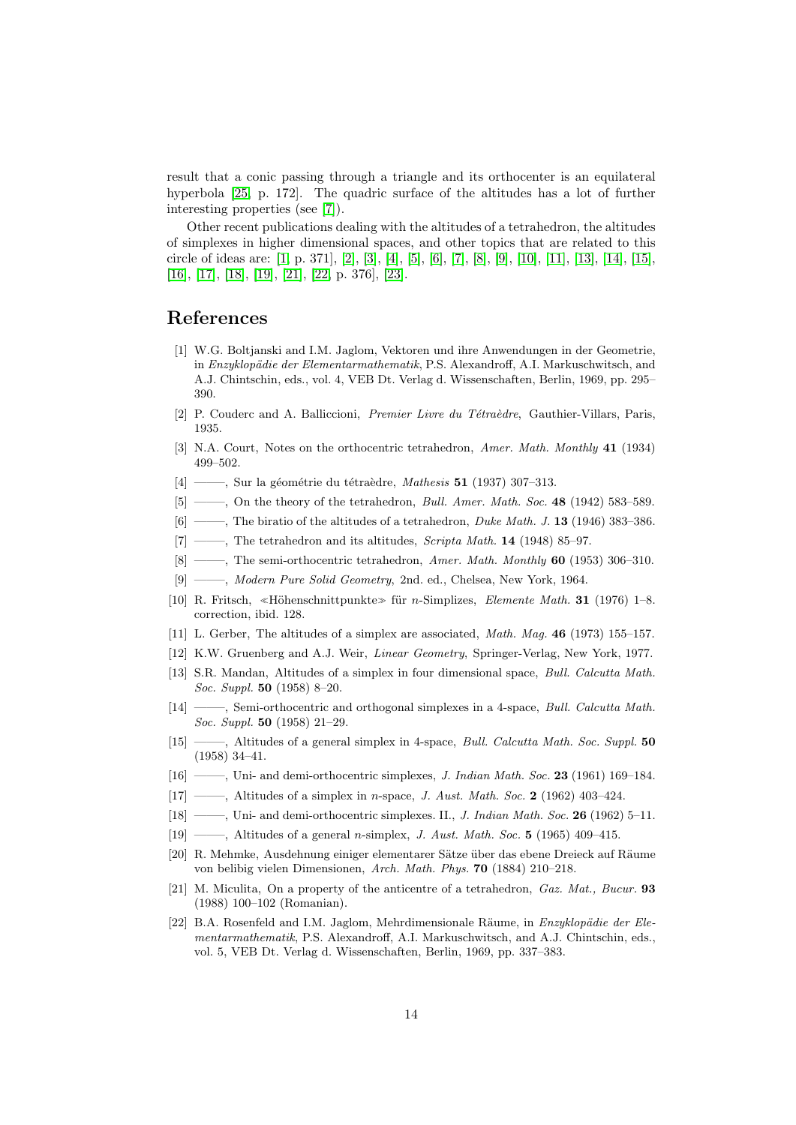result that a conic passing through a triangle and its orthocenter is an equilateral hyperbola [\[25,](#page-14-2) p. 172]. The quadric surface of the altitudes has a lot of further interesting properties (see [\[7\]](#page-13-0)).

Other recent publications dealing with the altitudes of a tetrahedron, the altitudes of simplexes in higher dimensional spaces, and other topics that are related to this circle of ideas are: [\[1,](#page-13-5) p. 371], [\[2\]](#page-13-9), [\[3\]](#page-13-10), [\[4\]](#page-13-11), [\[5\]](#page-13-12), [\[6\]](#page-13-6), [\[7\]](#page-13-0), [\[8\]](#page-13-13), [\[9\]](#page-13-7), [\[10\]](#page-13-4), [\[11\]](#page-13-14), [\[13\]](#page-13-15), [\[14\]](#page-13-16), [\[15\]](#page-13-17), [\[16\]](#page-13-18), [\[17\]](#page-13-3), [\[18\]](#page-13-19), [\[19\]](#page-13-20), [\[21\]](#page-13-21), [\[22,](#page-13-2) p. 376], [\[23\]](#page-14-3).

## References

- <span id="page-13-5"></span>[1] W.G. Boltjanski and I.M. Jaglom, Vektoren und ihre Anwendungen in der Geometrie, in Enzyklopädie der Elementarmathematik, P.S. Alexandroff, A.I. Markuschwitsch, and A.J. Chintschin, eds., vol. 4, VEB Dt. Verlag d. Wissenschaften, Berlin, 1969, pp. 295– 390.
- <span id="page-13-9"></span>[2] P. Couderc and A. Balliccioni, Premier Livre du Tétraèdre, Gauthier-Villars, Paris, 1935.
- <span id="page-13-10"></span>[3] N.A. Court, Notes on the orthocentric tetrahedron, Amer. Math. Monthly 41 (1934) 499–502.
- <span id="page-13-11"></span> $[4] \longrightarrow$ , Sur la géométrie du tétraèdre, Mathesis 51 (1937) 307–313.
- <span id="page-13-12"></span>[5] ——, On the theory of the tetrahedron, *Bull. Amer. Math. Soc.* **48** (1942) 583-589.
- <span id="page-13-6"></span> $[6]$  ——, The biratio of the altitudes of a tetrahedron, *Duke Math. J.* 13 (1946) 383–386.
- <span id="page-13-0"></span> $[7]$  ——, The tetrahedron and its altitudes, Scripta Math. 14 (1948) 85–97.
- <span id="page-13-13"></span>[8] ——, The semi-orthocentric tetrahedron, Amer. Math. Monthly 60 (1953) 306-310.
- <span id="page-13-7"></span>[9] ——–, Modern Pure Solid Geometry, 2nd. ed., Chelsea, New York, 1964.
- <span id="page-13-4"></span>[10] R. Fritsch, «Höhenschnittpunkte» für n-Simplizes, Elemente Math. 31 (1976) 1–8. correction, ibid. 128.
- <span id="page-13-14"></span>[11] L. Gerber, The altitudes of a simplex are associated, Math. Mag. 46 (1973) 155–157.
- <span id="page-13-8"></span>[12] K.W. Gruenberg and A.J. Weir, Linear Geometry, Springer-Verlag, New York, 1977.
- <span id="page-13-15"></span>[13] S.R. Mandan, Altitudes of a simplex in four dimensional space, Bull. Calcutta Math. Soc. Suppl. 50 (1958) 8–20.
- <span id="page-13-16"></span>[14] ——, Semi-orthocentric and orthogonal simplexes in a 4-space, *Bull. Calcutta Math.* Soc. Suppl. 50 (1958) 21–29.
- <span id="page-13-17"></span>[15] ——, Altitudes of a general simplex in 4-space, *Bull. Calcutta Math. Soc. Suppl.* 50 (1958) 34–41.
- <span id="page-13-18"></span>[16] ——–, Uni- and demi-orthocentric simplexes, J. Indian Math. Soc. 23 (1961) 169–184.
- <span id="page-13-3"></span>[17] ——, Altitudes of a simplex in *n*-space, *J. Aust. Math. Soc.* 2 (1962) 403-424.
- <span id="page-13-19"></span>[18] ——, Uni- and demi-orthocentric simplexes. II., *J. Indian Math. Soc.* **26** (1962) 5-11.
- <span id="page-13-20"></span>[19] ——, Altitudes of a general n-simplex, J. Aust. Math. Soc. 5 (1965) 409-415.
- <span id="page-13-1"></span>[20] R. Mehmke, Ausdehnung einiger elementarer Sätze über das ebene Dreieck auf Räume von belibig vielen Dimensionen, Arch. Math. Phys. 70 (1884) 210–218.
- <span id="page-13-21"></span>[21] M. Miculita, On a property of the anticentre of a tetrahedron, Gaz. Mat., Bucur. 93 (1988) 100–102 (Romanian).
- <span id="page-13-2"></span>[22] B.A. Rosenfeld and I.M. Jaglom, Mehrdimensionale Räume, in  $Enzyklop\ddot{a}die der Ele$ mentarmathematik, P.S. Alexandroff, A.I. Markuschwitsch, and A.J. Chintschin, eds., vol. 5, VEB Dt. Verlag d. Wissenschaften, Berlin, 1969, pp. 337–383.